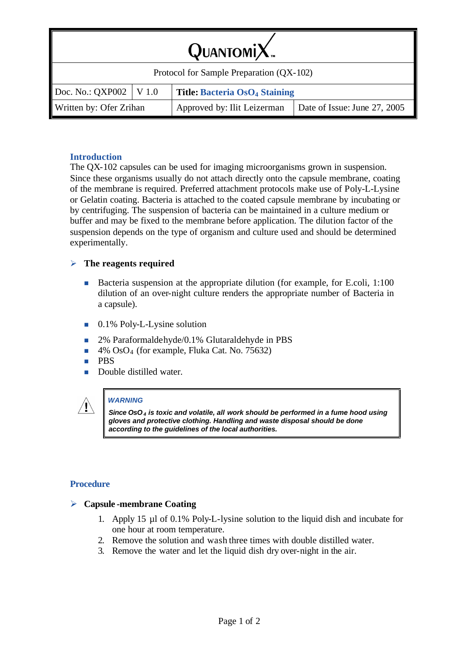| $QuarsoniX$ .                            |  |                                      |                              |  |  |
|------------------------------------------|--|--------------------------------------|------------------------------|--|--|
| Protocol for Sample Preparation (QX-102) |  |                                      |                              |  |  |
| Doc. No.: QXP002   V 1.0                 |  | <b>Title: Bacteria OsO4 Staining</b> |                              |  |  |
| Written by: Ofer Zrihan                  |  | Approved by: Ilit Leizerman          | Date of Issue: June 27, 2005 |  |  |

# **Introduction**

The QX-102 capsules can be used for imaging microorganisms grown in suspension. Since these organisms usually do not attach directly onto the capsule membrane, coating of the membrane is required. Preferred attachment protocols make use of Poly-L-Lysine or Gelatin coating. Bacteria is attached to the coated capsule membrane by incubating or by centrifuging. The suspension of bacteria can be maintained in a culture medium or buffer and may be fixed to the membrane before application. The dilution factor of the suspension depends on the type of organism and culture used and should be determined experimentally.

## ÿ **The reagents required**

- Bacteria suspension at the appropriate dilution (for example, for E.coli, 1:100 dilution of an over-night culture renders the appropriate number of Bacteria in a capsule).
- $\blacksquare$  0.1% Poly-L-Lysine solution
- 2% Paraformaldehyde/0.1% Glutaraldehyde in PBS
- $\blacksquare$  4% OsO<sub>4</sub> (for example, Fluka Cat. No. 75632)
- n PBS
- **n** Double distilled water.



#### *WARNING*

*Since OsO4 is toxic and volatile, all work should be performed in a fume hood using gloves and protective clothing. Handling and waste disposal should be done according to the guidelines of the local authorities.*

### **Procedure**

### ÿ **Capsule -membrane Coating**

- 1. Apply 15 µl of 0.1% Poly-L-lysine solution to the liquid dish and incubate for one hour at room temperature.
- 2. Remove the solution and wash three times with double distilled water.
- 3. Remove the water and let the liquid dish dry over-night in the air.